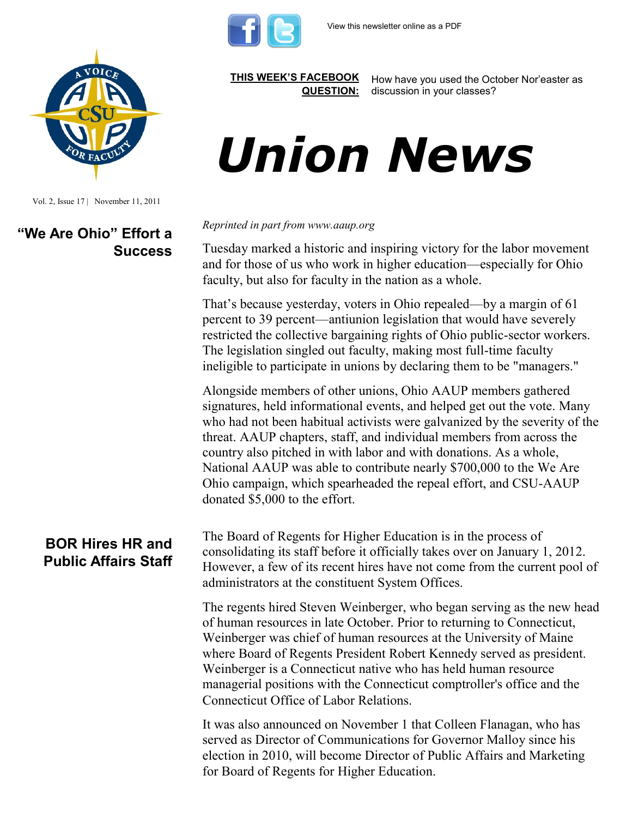



Vol. 2, Issue 17 | November 11, 2011

### **"We Are Ohio" Effort a Success**

#### **BOR Hires HR and Public Affairs Staff**

**[THIS WEEK'S FACEBOOK](http://www.facebook.com/csuaaup#!/pages/CSU-AAUP/112907808749535)  [QUESTION:](http://www.facebook.com/csuaaup#!/pages/CSU-AAUP/112907808749535)**

How have you used the October Nor'easter as discussion in your classes?

# *Union News*

*Reprinted in part from www.aaup.org*

Tuesday marked a historic and inspiring victory for the labor movement and for those of us who work in higher education—especially for Ohio faculty, but also for faculty in the nation as a whole.

That's because yesterday, voters in Ohio repealed—by a margin of 61 percent to 39 percent—antiunion legislation that would have severely restricted the collective bargaining rights of Ohio public-sector workers. The legislation singled out faculty, making most full-time faculty ineligible to participate in unions by declaring them to be "managers."

Alongside members of other unions, Ohio AAUP members gathered signatures, held informational events, and helped get out the vote. Many who had not been habitual activists were galvanized by the severity of the threat. AAUP chapters, staff, and individual members from across the country also pitched in with labor and with donations. As a whole, National AAUP was able to contribute nearly \$700,000 to the We Are Ohio campaign, which spearheaded the repeal effort, and CSU-AAUP donated \$5,000 to the effort.

The Board of Regents for Higher Education is in the process of consolidating its staff before it officially takes over on January 1, 2012. However, a few of its recent hires have not come from the current pool of administrators at the constituent System Offices.

The regents hired Steven Weinberger, who began serving as the new head of human resources in late October. Prior to returning to Connecticut, Weinberger was chief of human resources at the University of Maine where Board of Regents President Robert Kennedy served as president. Weinberger is a Connecticut native who has held human resource managerial positions with the Connecticut comptroller's office and the Connecticut Office of Labor Relations.

It was also announced on November 1 that Colleen Flanagan, who has served as Director of Communications for Governor Malloy since his election in 2010, will become Director of Public Affairs and Marketing for Board of Regents for Higher Education.